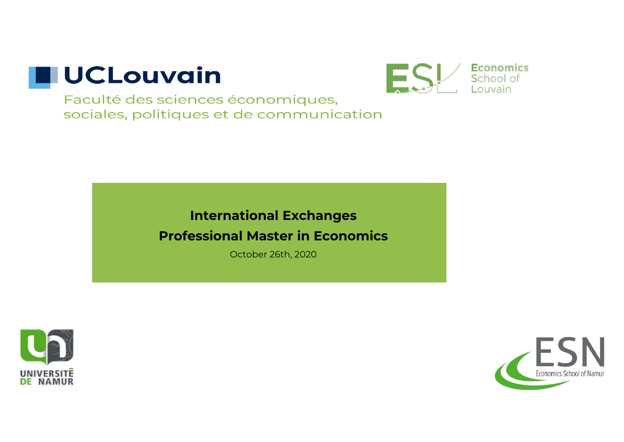



### **International Exchanges Professional Master in Economics**

October 26th, 2020



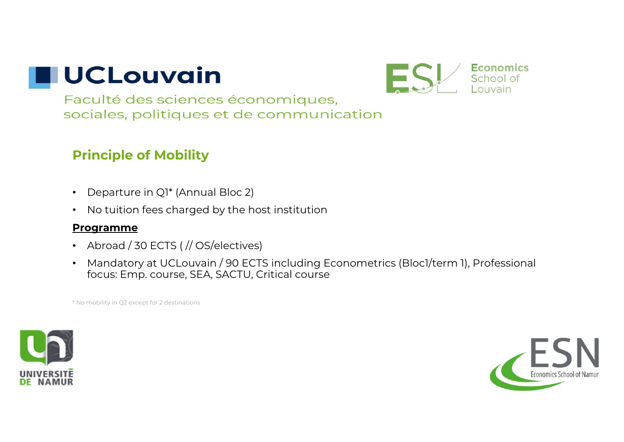

Faculté des sciences économiques, sociales, politiques et de communication

### **Principle of Mobility**

- Departure in Q1\* (Annual Bloc 2)
- •No tuition fees charged by the host institution

#### **Programme**

- Abroad / 30 ECTS ( // OS/electives)
- Mandatory at UCLouvain / 90 ECTS including Econometrics (Bloc1/term 1), Professional focus: Emp. course, SEA, SACTU, Critical course

\* No mobility in Q2 except for 2 destinations



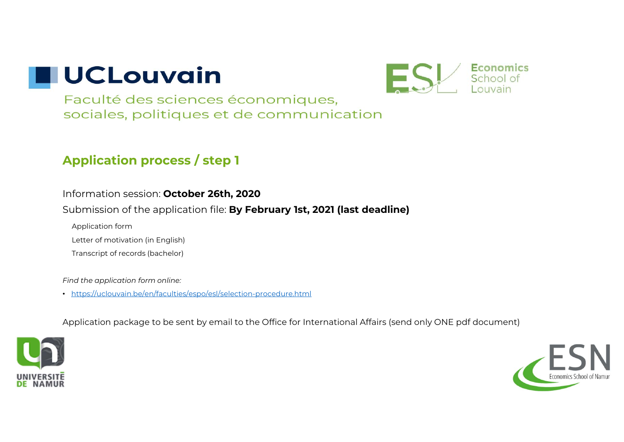

Faculté des sciences économiques, sociales, politiques et de communication

### **Application process / step <sup>1</sup>**

#### Information session: **October 26th, 2020**

Submission of the application file: **By February 1st, 2021 (last deadline)**

Application form

Letter of motivation (in English)

Transcript of records (bachelor)

*Find the application form online:* 

• https://uclouvain.be/en/faculties/espo/esl/selection-procedure.html

Application package to be sent by email to the Office for International Affairs (send only ONE pdf document)



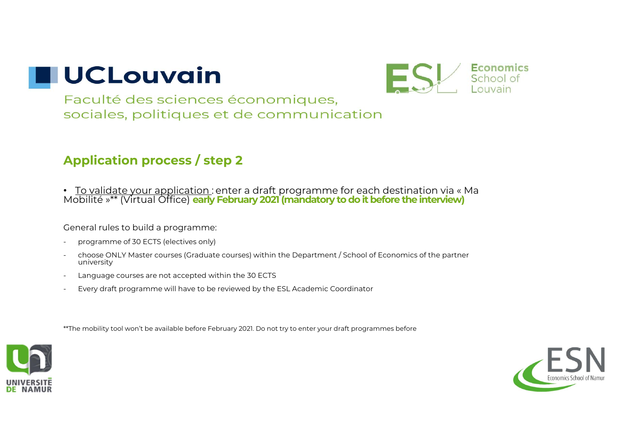

Faculté des sciences économiques, sociales, politiques et de communication

### **Application process / step <sup>2</sup>**

• T<u>o validate your application :</u> enter a draft programme for each destination via « Ma Mobilité »\*\* (Virtual Office) **early February 2021 (mandatory to do it before the interview)**

General rules to build a programme:

- programme of 30 ECTS (electives only)
- choose ONLY Master courses (Graduate courses) within the Department / School of Economics of the partner university
- -Language courses are not accepted within the 30 ECTS
- Every draft programme will have to be reviewed by the ESL Academic Coordinator**by**

\*\*The mobility tool won't be available before February 2021. Do not try to enter your draft programmes before



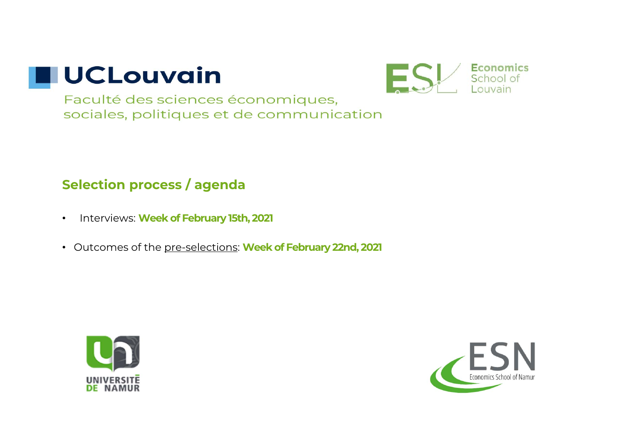



### **Selection process / agenda**

- •Interviews: **Week of February 15th, 2021**
- Outcomes of the pre-selections: **Week of February 22nd, 2021**



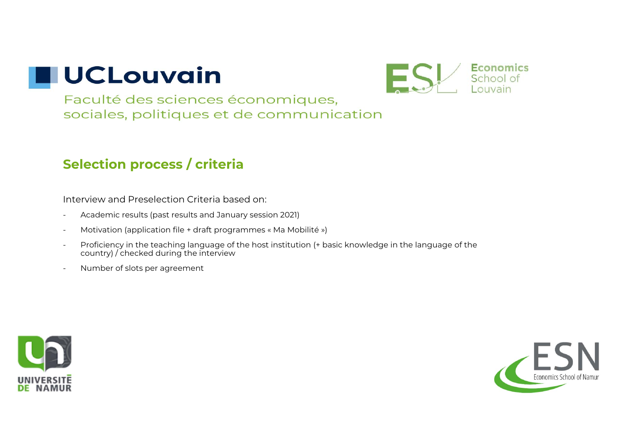

Faculté des sciences économiques, sociales, politiques et de communication

### **Selection process / criteria**

Interview and Preselection Criteria based on:

- -Academic results (past results and January session 2021)
- -Motivation (application file + draft programmes « Ma Mobilité »)
- - Proficiency in the teaching language of the host institution (+ basic knowledge in the language of the country) / checked during the interview
- -Number of slots per agreement



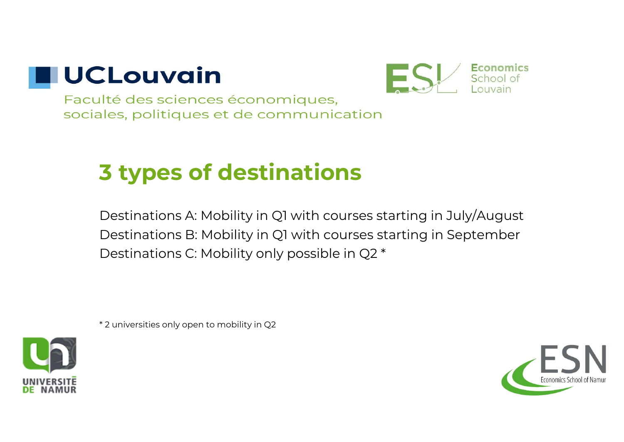



## **3 types of destinations**

Destinations A: Mobility in Q1 with courses starting in July/August Destinations B: Mobility in Q1 with courses starting in September Destinations C: Mobility only possible in Q2 \*

\* 2 universities only open to mobility in Q2



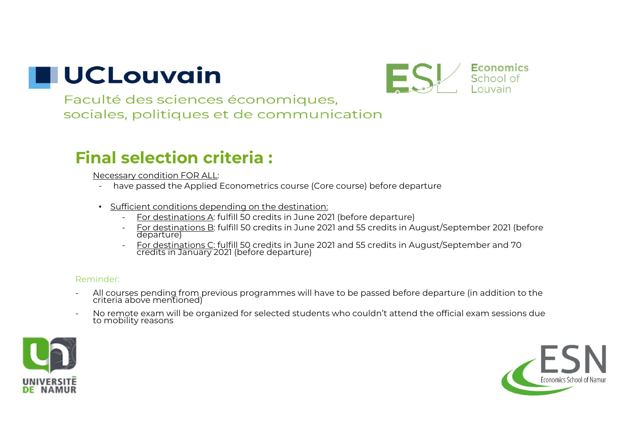

Faculté des sciences économiques. sociales, politiques et de communication

### **Final selection criteria :**

Necessary condition FOR ALL:

- have passed the Applied Econometrics course (Core course) before departure
- Sufficient conditions depending on the destination:
	- <u>For destinations A</u>: fulfill 50 credits in June 2021 (before departure)
	- <u>For destinations B</u>: fulfill 50 credits in June 2021 and 55 credits in August/September 2021 (before<br>departure)
	- For destinations C: fulfill 50 credits in June 2021 and 55 credits in August/September and 70 credits in January 2021 (before departure)

#### Reminder:

- All courses pending from previous programmes will have to be passed before departure (in addition to the<br>criteria above mentioned)
- No remote exam will be organized for selected students who couldn't attend the official exam sessions due<br>to mobility reasons



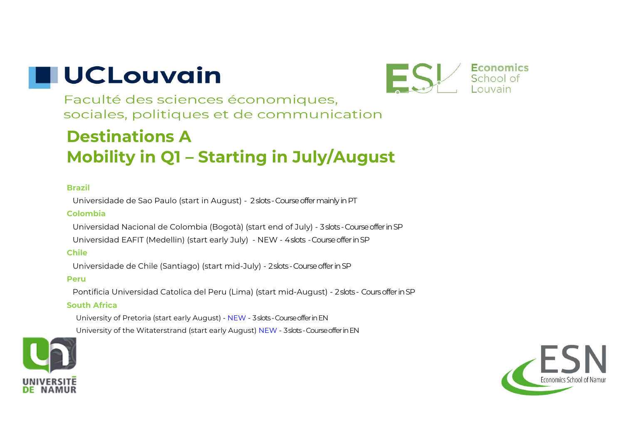

Faculté des sciences économiques. sociales, politiques et de communication

### **Destinations AMobility in Q1 – Starting in July/August**

#### **Brazil**

Universidade de Sao Paulo (start in August) - 2 slots -Course offermainlyin PT

#### **Colombia**

Universidad Nacional de Colombia (Bogotà) (start end of July) - 3 slots -Course offerin SP

Universidad EAFIT (Medellin) (start early July) - NEW - 4 slots -Course offerin SP

#### **Chile**

Universidade de Chile (Santiago) (start mid-July) - 2 slots -Course offerin SP

#### **Peru**

Pontificia Universidad Catolica del Peru (Lima) (start mid-August) - 2 slots - Cours offerin SP

#### **South Africa**

University of Pretoria (start early August) - NEW - 3 slots -Course offer in EN

University of the Witaterstrand (start early August) NEW - 3 slots -Course offer in EN



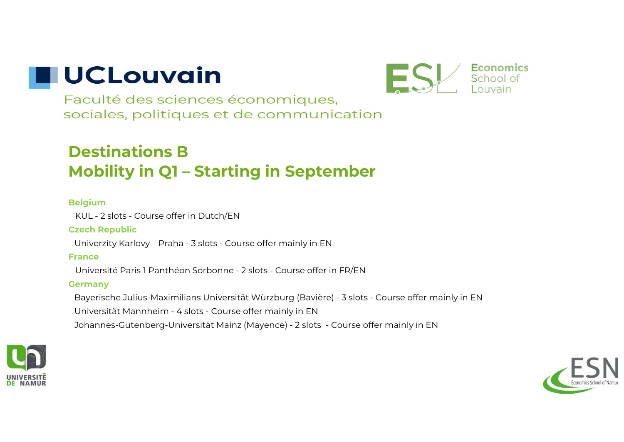

Faculté des sciences économiques, sociales, politiques et de communication

### **Destinations BMobility in Q1 – Starting in September**

#### **Belgium**

KUL - 2 slots - Course offer in Dutch/EN

#### **Czech Republic**

Univerzity Karlovy – Praha - 3 slots - Course offer mainly in EN

#### **France**

Université Paris 1 Panthéon Sorbonne - 2 slots - Course offer in FR/EN

#### **Germany**

Bayerische Julius-Maximilians Universität Würzburg (Bavière) - 3 slots - Course offer mainly in EN Universität Mannheim - 4 slots - Course offer mainly in EN Johannes-Gutenberg-Universität Mainz (Mayence) - 2 slots - Course offer mainly in EN



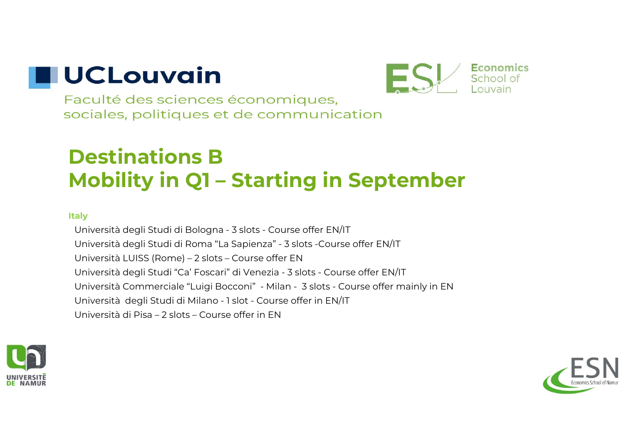

Faculté des sciences économiques. sociales, politiques et de communication

## **Destinations BMobility in Q1 – Starting in September**

#### **Italy**

Università degli Studi di Bologna - 3 slots - Course offer EN/IT Università degli Studi di Roma "La Sapienza" - 3 slots -Course offer EN/IT Università LUISS (Rome) – 2 slots – Course offer EN Università degli Studi "Ca' Foscari" di Venezia - 3 slots - Course offer EN/IT Università Commerciale "Luigi Bocconi" - Milan - 3 slots - Course offer mainly in EN Università degli Studi di Milano - 1 slot - Course offer in EN/IT Università di Pisa – 2 slots – Course offer in EN



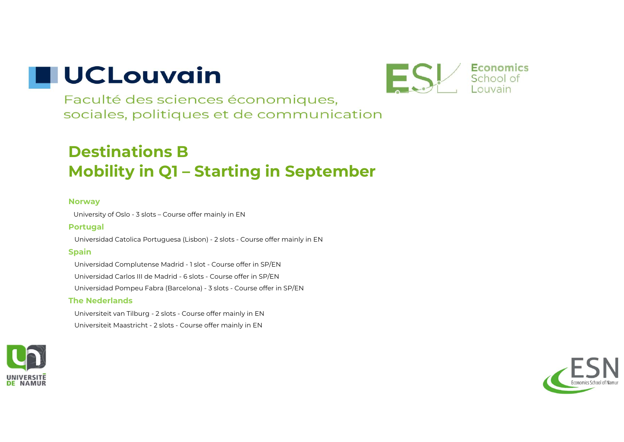

Faculté des sciences économiques, sociales, politiques et de communication

### **Destinations BMobility in Q1 – Starting in September**

#### **Norway**

University of Oslo - 3 slots – Course offer mainly in EN

#### **Portugal**

Universidad Catolica Portuguesa (Lisbon) - 2 slots - Course offer mainly in EN

#### **Spain**

Universidad Complutense Madrid - 1 slot - Course offer in SP/EN Universidad Carlos III de Madrid - 6 slots - Course offer in SP/EN Universidad Pompeu Fabra (Barcelona) - 3 slots - Course offer in SP/EN

#### **The Nederlands**

Universiteit van Tilburg - 2 slots - Course offer mainly in EN Universiteit Maastricht - 2 slots - Course offer mainly in EN



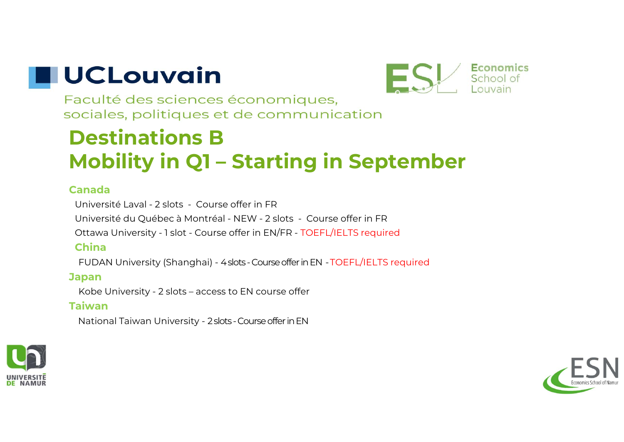

Faculté des sciences économiques, sociales, politiques et de communication

## **Destinations BMobility in Q1 – Starting in September**

#### **Canada**

Université Laval - 2 slots - Course offer in FRUniversité du Québec à Montréal - NEW - 2 slots - Course offer in FR Ottawa University - 1 slot - Course offer in EN/FR - TOEFL/IELTS required **China**

FUDAN University (Shanghai) - 4 slots -Course offerin EN -TOEFL/IELTS required

### **Japan**

Kobe University - 2 slots – access to EN course offer

#### **Taiwan**

National Taiwan University - 2 slots -Course offerin EN